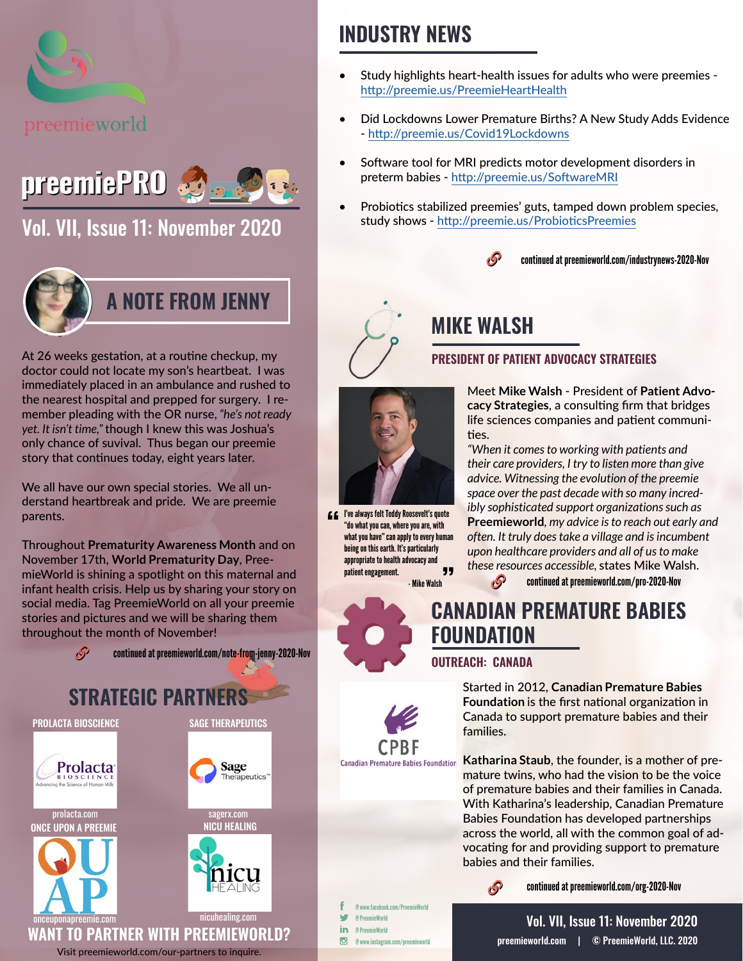

# preemiePRO

[Vol. VII, Issue 11: November 2020](https://preemieworld.com/preemie-pro-digital-issues/)



At 26 weeks gestation, at a routine checkup, my doctor could not locate my son's heartbeat. I was immediately placed in an ambulance and rushed to the nearest hospital and prepped for surgery. I remember pleading with the OR nurse, *"he's not ready yet. It isn't time,"* though I knew this was Joshua's only chance of suvival. Thus began our preemie story that continues today, eight years later.

We all have our own special stories. We all understand heartbreak and pride. We are preemie parents.

Throughout **Prematurity Awareness Month** and on November 17th, **World Prematurity Day**, PreemieWorld is shining a spotlight on this maternal and infant health crisis. Help us by sharing your story on social media. Tag PreemieWorld on all your preemie stories and pictures and we will be sharing them throughout the month of November!



### **INDUSTRY NEWS**

- Study highlights heart-health issues for adults who were preemies http://preemie.us/PreemieHeartHealth
- Did Lockdowns Lower Premature Births? A New Study Adds Evidence - http://preemie.us/Covid19Lockdowns
- Software tool for MRI predicts motor development disorders in preterm babies - http://preemie.us/SoftwareMRI
- Probiotics stabilized preemies' guts, tamped down problem species, study shows - http://preemie.us/ProbioticsPreemie[s](https://preemie.us/NeonatalOutcomesCovid )



### **MIKE WALSH**

#### **PRESIDENT OF PATIENT ADVOCACY STRATEGIES**



*"When it comes to working with patients and their care providers, I try to listen more than give advice. Witnessing the evolution of the preemie space over the past decade with so many incredibly sophisticated support organizations such as*  **Preemieworld***, my advice is to reach out early and often. It truly does take a village and is incumbent upon healthcare providers and all of us to make these resources accessible,* states Mike Walsh.

- Mike Walsh continued at [preemieworld.com/pro-2020-](https://preemieworld.com/pro-2020-Nov)Nov

### **CANADIAN PREMATURE BABIES FOUNDATION**

#### **OUTREACH: CANADA**

Started in 2012, **Canadian Premature Babies Foundation** is the first national organization in Canada to support premature babies and their families.

**Katharina Staub**, the founder, is a mother of premature twins, who had the vision to be the voice of premature babies and their families in Canada. With Katharina's leadership, Canadian Premature Babies Foundation has developed partnerships across the world, all with the common goal of advocating for and providing support to premature babies and their families.



continued at [preemieworld.com/org-2020-](https://preemieworld.com/org-2020-Nov)Nov

@ www.facebook.com/PreemieWorld w @ PreemieWorld in @ PreemieWorld @ www.instagram.com/preemieworld

**Canadian Premature Babies Foundation** 

[preemieworld.com](https://preemieworld.com) | © PreemieWorld, LLC. 2020 Vol. VII, Issue 11: November 2020



I've always felt Teddy Roosevelt's quote "do what you can, where you are, with what you have" can apply to every human being on this earth. It's particularly appropriate to health advocacy and patient engagement. 99